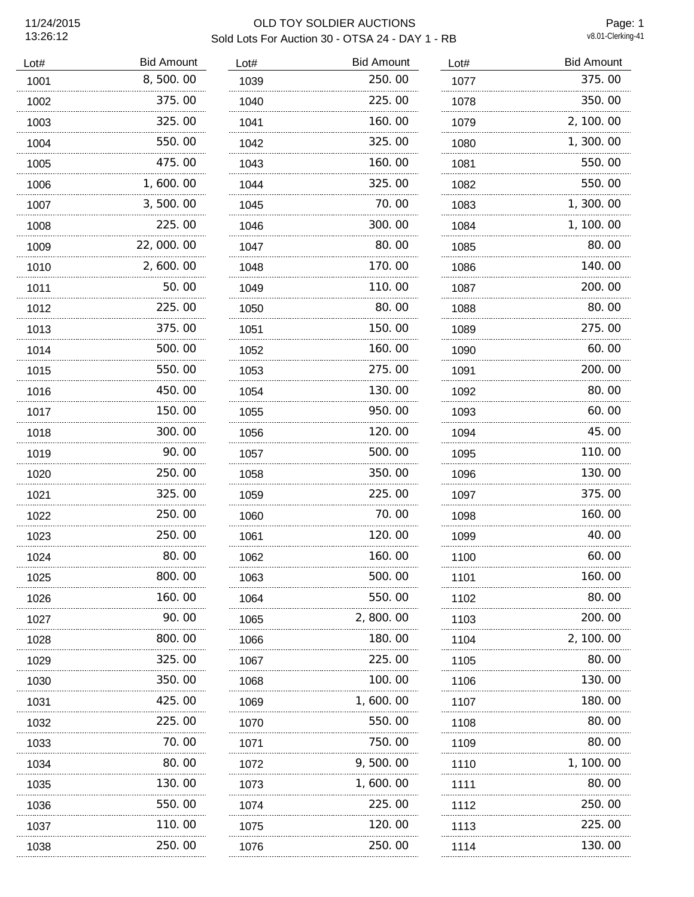13:26:12

## 11/24/2015 OLD TOY SOLDIER AUCTIONS Sold Lots For Auction 30 - OTSA 24 - DAY 1 - RB

Page: 1<br>v8.01-Clerking-41

| Lot# | <b>Bid Amount</b> | Lot# | <b>Bid Amount</b> | Lot# | <b>Bid Amount</b> |
|------|-------------------|------|-------------------|------|-------------------|
| 1001 | 8,500.00          | 1039 | 250.00            | 1077 | 375.00            |
| 1002 | 375.00            | 1040 | 225.00            | 1078 | 350.00            |
| 1003 | 325.00            | 1041 | 160.00            | 1079 | 2, 100.00         |
| 1004 | 550.00            | 1042 | 325.00            | 1080 | 1,300.00          |
| 1005 | 475.00            | 1043 | 160.00            | 1081 | 550.00            |
| 1006 | 1,600.00          | 1044 | 325.00            | 1082 | 550.00            |
| 1007 | 3,500.00          | 1045 | 70.00             | 1083 | 1,300.00          |
| 1008 | 225.00            | 1046 | 300.00            | 1084 | 1, 100.00         |
| 1009 | 22,000.00         | 1047 | 80.00             | 1085 | 80.00             |
| 1010 | 2,600.00          | 1048 | 170.00            | 1086 | 140.00            |
| 1011 | 50.00             | 1049 | 110.00            | 1087 | 200.00            |
| 1012 | 225.00            | 1050 | 80.00             | 1088 | 80.00             |
| 1013 | 375.00            | 1051 | 150.00            | 1089 | 275.00            |
| 1014 | 500.00            | 1052 | 160.00            | 1090 | 60.00             |
| 1015 | 550.00            | 1053 | 275.00            | 1091 | 200.00            |
| 1016 | 450.00            | 1054 | 130.00            | 1092 | 80.00             |
| 1017 | 150.00<br>.       | 1055 | 950.00            | 1093 | 60.00             |
| 1018 | 300.00            | 1056 | 120.00            | 1094 | 45.00             |
| 1019 | 90.00             | 1057 | 500.00            | 1095 | 110.00            |
| 1020 | 250.00            | 1058 | 350.00            | 1096 | 130.00            |
| 1021 | 325.00            | 1059 | 225.00            | 1097 | 375.00            |
| 1022 | 250.00            | 1060 | 70.00             | 1098 | 160.00            |
| 1023 | 250.00            | 1061 | 120.00            | 1099 | 40.00             |
| 1024 | 80.00             | 1062 | 160.00            | 1100 | 60.00             |
| 1025 | 800.00            | 1063 | 500.00            | 1101 | 160.00            |
| 1026 | 160.00            | 1064 | 550.00            | 1102 | 80.00             |
| 1027 | 90. OO            | 1065 | 2, 800. 00        | 1103 | 200.00            |
| 1028 | 800.00            | 1066 | 180.00            | 1104 | 2, 100. 00        |
| 1029 | 325.00            | 1067 | 225.00            | 1105 | 80.00             |
| 1030 | 350.00            | 1068 | 100.00            | 1106 | 130.00            |
| 1031 | 425.00            | 1069 | 1, 600. 00        | 1107 | 180.00            |
| 1032 | 225.00            | 1070 | 550.00            | 1108 | 80.00             |
| 1033 | 70.00             | 1071 | 750.00            | 1109 | 80.00             |
| 1034 | 80.00             | 1072 | 9,500.00          | 1110 | 1, 100.00         |
| 1035 | 130. 00           | 1073 | 1, 600. 00        | 1111 | 80.00             |
| 1036 | 550.00            | 1074 | 225.00            | 1112 | 250.00            |
| 1037 | 110.00<br>.       | 1075 | 120.00            | 1113 | 225.00            |
| 1038 | 250. 00           | 1076 | 250.00            | 1114 | 130.00            |
|      |                   |      |                   |      |                   |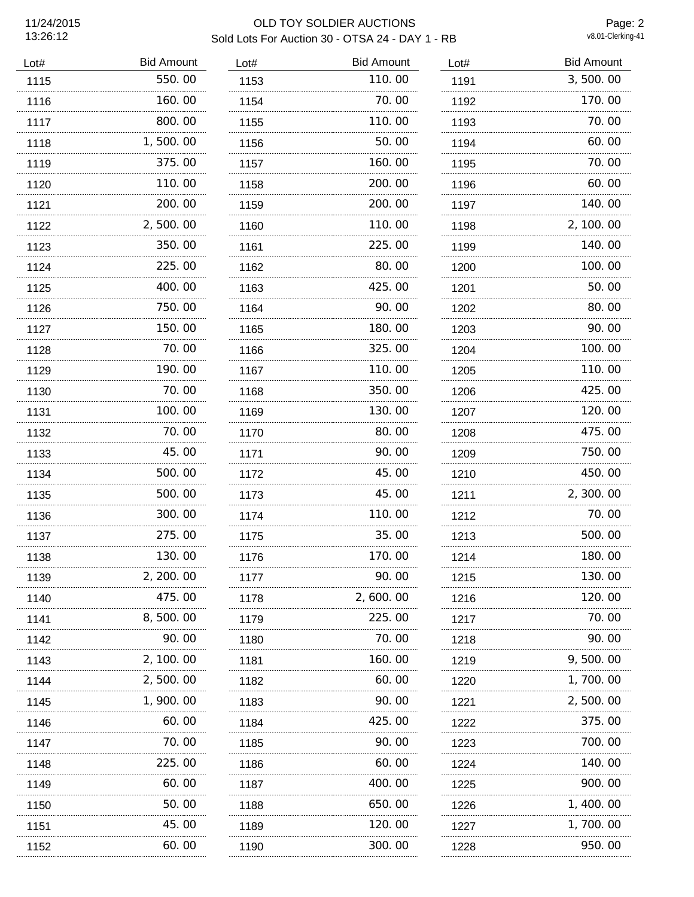13:26:12

## 11/24/2015 OLD TOY SOLDIER AUCTIONS Sold Lots For Auction 30 - OTSA 24 - DAY 1 - RB

Page: 2<br>v8.01-Clerking-41

| Lot# | <b>Bid Amount</b> | Lot# | <b>Bid Amount</b> | Lot# | <b>Bid Amount</b> |
|------|-------------------|------|-------------------|------|-------------------|
| 1115 | 550.00            | 1153 | 110.00            | 1191 | 3,500.00          |
| 1116 | 160.00            | 1154 | 70.00             | 1192 | 170.00            |
| 1117 | 800.00            | 1155 | 110.00            | 1193 | 70.00             |
| 1118 | 1,500.00          | 1156 | 50.00             | 1194 | 60.00             |
| 1119 | 375.00            | 1157 | 160.00            | 1195 | 70.00             |
| 1120 | 110.00            | 1158 | 200, 00           | 1196 | 60.00             |
| 1121 | 200.00            | 1159 | 200.00            | 1197 | 140.00            |
| 1122 | 2,500.00          | 1160 | 110.00            | 1198 | 2, 100.00         |
| 1123 | 350.00            | 1161 | 225.00            | 1199 | 140.00            |
| 1124 | 225.00            | 1162 | 80.00             | 1200 | 100.00            |
| 1125 | 400.00            | 1163 | 425.00            | 1201 | 50.00             |
| 1126 | 750.00            | 1164 | 90.00             | 1202 | 80.00             |
| 1127 | 150.00            | 1165 | 180.00            | 1203 | 90.00             |
| 1128 | 70.00             | 1166 | 325.00            | 1204 | 100.00            |
| 1129 | 190.00            | 1167 | 110.00            | 1205 | 110.00            |
| 1130 | 70.00             | 1168 | 350.00            | 1206 | 425.00            |
| 1131 | 100, 00           | 1169 | 130.00            | 1207 | 120.00            |
| 1132 | 70.00             | 1170 | 80.00             | 1208 | 475.00            |
| 1133 | 45.00             | 1171 | 90.00             | 1209 | 750.00            |
| 1134 | 500.00            | 1172 | 45.00             | 1210 | 450.00            |
| 1135 | 500.00            | 1173 | 45.00             | 1211 | 2,300.00          |
| 1136 | 300.00            | 1174 | 110.00            | 1212 | 70.00             |
| 1137 | 275.00            | 1175 | 35.00             | 1213 | 500.00            |
| 1138 | 130.00            | 1176 | 170.00            | 1214 | 180.00            |
| 1139 | 2, 200.00         | 1177 | 90.00             | 1215 | 130.00            |
| 1140 | 475.00            | 1178 | 2, 600. 00        | 1216 | 120.00            |
| 1141 | 8, 500. 00        | 1179 | 225.00            | 1217 | 70. 00            |
| 1142 | 90.00             | 1180 | 70.00             | 1218 | 90.00             |
| 1143 | 2, 100. 00        | 1181 | 160.00            | 1219 | 9, 500. 00        |
| 1144 | 2, 500. 00        | 1182 | 60.00             | 1220 | 1,700.00          |
| 1145 | 1, 900. 00        | 1183 | 90.00             | 1221 | 2, 500. 00        |
| 1146 | 60.00             | 1184 | 425.00            | 1222 | 375.00            |
| 1147 | 70.00             | 1185 | 90.00             | 1223 | 700.00            |
| 1148 | 225.00            | 1186 | 60.00             | 1224 | 140.00            |
| 1149 | 60.00             | 1187 | 400.00            | 1225 | 900.00            |
| 1150 | 50.00             | 1188 | 650.00            | 1226 | 1, 400. 00        |
| 1151 | 45.00             | 1189 | 120.00            | 1227 | 1, 700. 00        |
| 1152 | 60.00             | 1190 | 300.00            | 1228 | 950.00            |
|      |                   |      |                   |      |                   |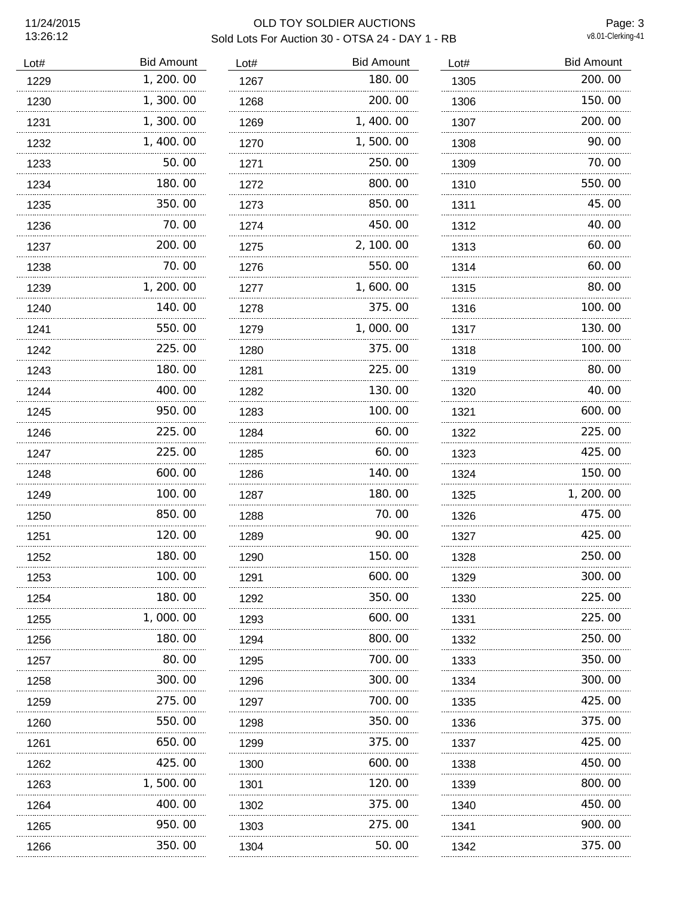Page: 3<br>v8.01-Clerking-41

| Lot# | <b>Bid Amount</b> | Lot# | <b>Bid Amount</b> | Lot# | <b>Bid Amount</b> |
|------|-------------------|------|-------------------|------|-------------------|
| 1229 | 1, 200.00         | 1267 | 180.00            | 1305 | 200.00            |
| 1230 | 1,300.00          | 1268 | 200.00            | 1306 | 150.00            |
| 1231 | 1, 300.00         | 1269 | 1, 400.00         | 1307 | 200.00            |
| 1232 | 1, 400.00         | 1270 | 1,500.00          | 1308 | 90.00             |
| 1233 | 50.00             | 1271 | 250.00            | 1309 | 70.00             |
| 1234 | 180.00            | 1272 | 800.00            | 1310 | 550.00            |
| 1235 | 350.00            | 1273 | 850.00            | 1311 | 45.00             |
| 1236 | 70.00             | 1274 | 450.00            | 1312 | 40.00             |
| 1237 | 200. 00           | 1275 | 2, 100.00         | 1313 | 60.00             |
| 1238 | 70.00             | 1276 | 550.00            | 1314 | 60.00             |
| 1239 | 1, 200. 00        | 1277 | 1,600.00          | 1315 | 80.00             |
| 1240 | 140.00            | 1278 | 375.00            | 1316 | 100.00            |
| 1241 | 550.00            | 1279 | 1,000.00          | 1317 | 130.00            |
| 1242 | 225.00            | 1280 | 375.00            | 1318 | 100.00            |
| 1243 | 180.00            | 1281 | 225.00            | 1319 | 80.00             |
| 1244 | 400.00            | 1282 | 130.00            | 1320 | 40.00             |
| 1245 | 950.00<br>.       | 1283 | 100.00            | 1321 | 600.00            |
| 1246 | 225.00            | 1284 | 60.00             | 1322 | 225.00            |
| 1247 | 225.00            | 1285 | 60.00             | 1323 | 425.00            |
| 1248 | 600.00            | 1286 | 140.00            | 1324 | 150.00            |
| 1249 | 100.00            | 1287 | 180.00            | 1325 | 1, 200. 00        |
| 1250 | 850.00            | 1288 | 70.00             | 1326 | 475.00            |
| 1251 | 120.00            | 1289 | 90.00             | 1327 | 425.00            |
| 1252 | 180.00            | 1290 | 150.00            | 1328 | 250.00            |
| 1253 | 100.00            | 1291 | 600.00            | 1329 | 300.00            |
| 1254 | 180.00            | 1292 | 350.00            | 1330 | 225.00            |
| 1255 | 1, 000. 00        | 1293 | 600.00            | 1331 | 225,00            |
| 1256 | 180.00            | 1294 | 800.00            | 1332 | 250.00            |
| 1257 | 80.00             | 1295 | 700.00            | 1333 | 350.00            |
| 1258 | 300. 00           | 1296 | 300.00            | 1334 | 300.00            |
| 1259 | 275.00            | 1297 | 700. 00           | 1335 | 425,00            |
| 1260 | 550.00            | 1298 | 350.00            | 1336 | 375.00            |
| 1261 | 650.00            | 1299 | 375.00            | 1337 | 425.00            |
| 1262 | 425.00            | 1300 | 600.00            | 1338 | 450.00            |
| 1263 | 1, 500. 00        | 1301 | 120.00            | 1339 | 800.00            |
| 1264 | 400.00            | 1302 | 375.00            | 1340 | 450.00            |
| 1265 | 950. OO           | 1303 | 275.00            | 1341 | 900.00            |
| 1266 | 350.00            | 1304 | 50.00             | 1342 | 375.00            |
|      |                   |      |                   |      |                   |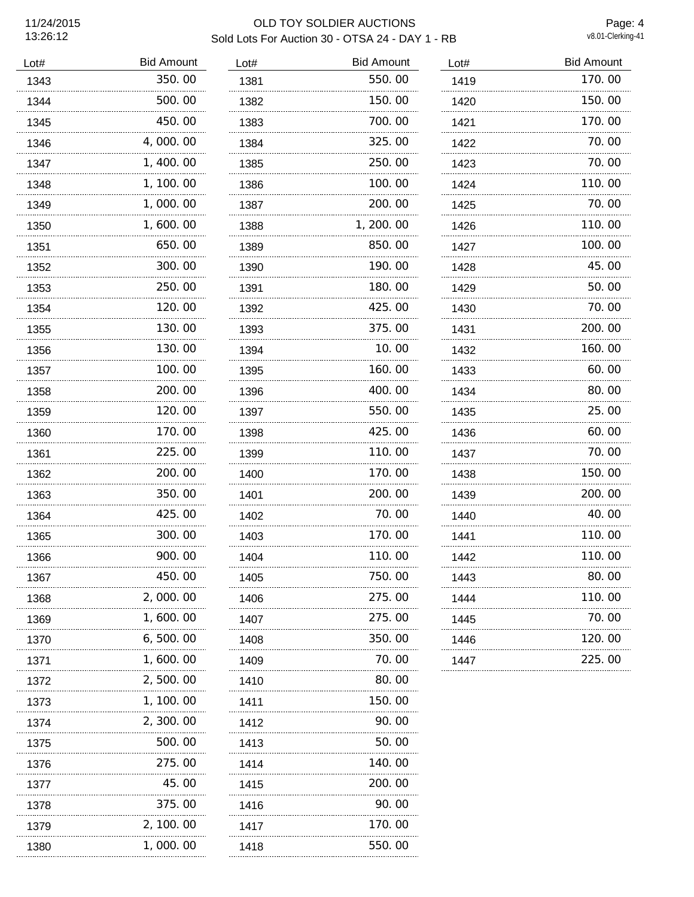13:26:12

## 11/24/2015 OLD TOY SOLDIER AUCTIONS Sold Lots For Auction 30 - OTSA 24 - DAY 1 - RB

Page: 4<br>v8.01-Clerking-41

| Lot# | <b>Bid Amount</b> | Lot# | <b>Bid Amount</b> | Lot# | <b>Bid Amount</b> |
|------|-------------------|------|-------------------|------|-------------------|
| 1343 | 350.00            | 1381 | 550.00            | 1419 | 170.00            |
| 1344 | 500.00            | 1382 | 150.00            | 1420 | 150.00            |
| 1345 | 450.00            | 1383 | 700.00            | 1421 | 170.00            |
| 1346 | 4,000.00          | 1384 | 325.00            | 1422 | 70.00             |
| 1347 | 1, 400.00         | 1385 | 250.00            | 1423 | 70.00             |
| 1348 | 1, 100. 00        | 1386 | 100, 00           | 1424 | 110.00            |
| 1349 | 1,000.00          | 1387 | 200.00            | 1425 | 70.00             |
| 1350 | 1,600.00          | 1388 | 1, 200. 00        | 1426 | 110.00            |
| 1351 | 650.00            | 1389 | 850.00            | 1427 | 100.00            |
| 1352 | 300.00            | 1390 | 190.00            | 1428 | 45.00             |
| 1353 | 250.00            | 1391 | 180.00            | 1429 | 50.00             |
| 1354 | 120.00            | 1392 | 425,00            | 1430 | 70.00             |
| 1355 | 130.00<br>.       | 1393 | 375.00<br>.       | 1431 | 200.00            |
| 1356 | 130.00            | 1394 | 10.00             | 1432 | 160.00            |
| 1357 | 100.00            | 1395 | 160.00            | 1433 | 60.00             |
| 1358 | 200.00            | 1396 | 400.00            | 1434 | 80.00             |
| 1359 | 120.00            | 1397 | 550.00            | 1435 | 25.00             |
| 1360 | 170.00            | 1398 | 425.00            | 1436 | 60.00             |
| 1361 | 225.00            | 1399 | 110.00            | 1437 | 70.00             |
| 1362 | 200.00            | 1400 | 170.00            | 1438 | 150.00            |
| 1363 | 350.00            | 1401 | 200.00            | 1439 | 200.00            |
| 1364 | 425.00            | 1402 | 70.00             | 1440 | 40.00             |
| 1365 | 300.00            | 1403 | 170.00            | 1441 | 110.00            |
| 1366 | 900.00            | 1404 | 110.00            | 1442 | 110.00            |
| 1367 | 450.00            | 1405 | 750.00            | 1443 | 80.00             |
| 1368 | 2,000.00          | 1406 | 275.00            | 1444 | 110.00            |
| 1369 | 1, 600. 00        | 1407 | 275.00            | 1445 | 70.00             |
| 1370 | 6, 500.00         | 1408 | 350.00            | 1446 | 120.00            |
| 1371 | 1,600.00          | 1409 | 70.00             | 1447 | 225.00            |
| 1372 | 2, 500. 00        | 1410 | 80.00             |      |                   |
| 1373 | 1, 100. 00        | 1411 | 150.00            |      |                   |
| 1374 | 2, 300. 00        | 1412 | 90.00             |      |                   |
| 1375 | 500.00            | 1413 | 50. 00            |      |                   |
| 1376 | 275.00            | 1414 | 140.00            |      |                   |
| 1377 | 45.00             | 1415 | 200.00            |      |                   |
| 1378 | 375.00            | 1416 | 90.00             |      |                   |
| 1379 | 2, 100. 00        | 1417 | 170.00            |      |                   |
| 1380 | 1,000.00          | 1418 | 550.00            |      |                   |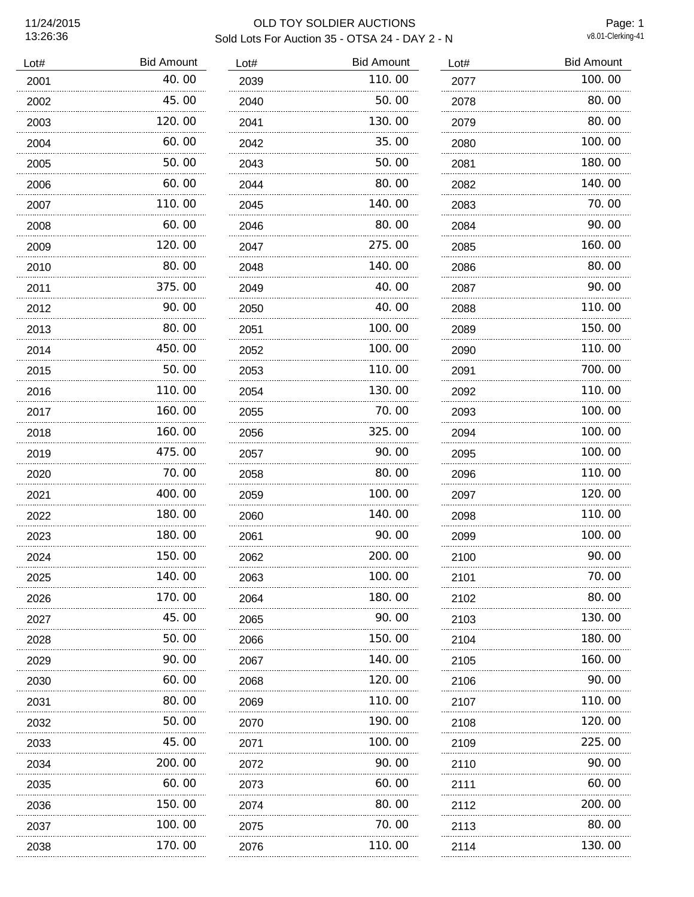Page: 1<br>v8.01-Clerking-41

| Lot# | <b>Bid Amount</b> | Lot# | <b>Bid Amount</b> | Lot# | <b>Bid Amount</b> |
|------|-------------------|------|-------------------|------|-------------------|
| 2001 | 40.00             | 2039 | 110.00            | 2077 | 100.00            |
| 2002 | 45.00             | 2040 | 50.00             | 2078 | 80.00             |
| 2003 | 120.00            | 2041 | 130.00            | 2079 | 80.00             |
| 2004 | 60.00             | 2042 | 35.00             | 2080 | 100.00            |
| 2005 | 50.00             | 2043 | 50.00             | 2081 | 180.00            |
| 2006 | 60.00             | 2044 | 80.00             | 2082 | 140.00            |
| 2007 | 110.00            | 2045 | 140.00            | 2083 | 70.00             |
| 2008 | 60.00             | 2046 | 80.00             | 2084 | 90.00             |
| 2009 | 120.00            | 2047 | 275.00            | 2085 | 160.00            |
| 2010 | 80.00             | 2048 | 140.00            | 2086 | 80.00             |
| 2011 | 375.00            | 2049 | 40.00             | 2087 | 90.00             |
| 2012 | 90.00             | 2050 | 40.00             | 2088 | 110.00            |
| 2013 | 80.00             | 2051 | 100.00            | 2089 | 150.00            |
| 2014 | 450.00            | 2052 | 100, 00           | 2090 | 110.00            |
| 2015 | 50.00             | 2053 | 110.00            | 2091 | 700.00            |
| 2016 | 110.00            | 2054 | 130.00            | 2092 | 110.00            |
| 2017 | 160.00            | 2055 | 70.00             | 2093 | 100.00            |
| 2018 | 160.00            | 2056 | 325.00            | 2094 | 100.00            |
| 2019 | 475.00            | 2057 | 90.00             | 2095 | 100.00            |
| 2020 | 70.00             | 2058 | 80.00             | 2096 | 110.00            |
| 2021 | 400.00            | 2059 | 100.00            | 2097 | 120.00            |
| 2022 | 180.00            | 2060 | 140.00            | 2098 | 110.00            |
| 2023 | 180.00            | 2061 | 90.00             | 2099 | 100, 00           |
| 2024 | 150.00            | 2062 | 200.00            | 2100 | 90.00             |
| 2025 | 140.00            | 2063 | 100.00            | 2101 | 70.00             |
| 2026 | 170. 00           | 2064 | 180. 00           | 2102 | 80.00             |
| 2027 | 45.00             | 2065 | 90. 00            | 2103 | 130.00            |
| 2028 | 50.00             | 2066 | 150.00            | 2104 | 180.00            |
| 2029 | 90.00             | 2067 | 140.00            | 2105 | 160.00            |
| 2030 | 60.00             | 2068 | 120.00            | 2106 | 90.00             |
| 2031 | 80.00             | 2069 | 110.00            | 2107 | 110.00            |
| 2032 | 50.00             | 2070 | 190.00            | 2108 | 120.00            |
| 2033 | 45.00             | 2071 | 100.00            | 2109 | 225.00            |
| 2034 | 200. 00           | 2072 | 90.00             | 2110 | 90.00             |
| 2035 | 60.00             | 2073 | 60.00             | 2111 | 60.00             |
| 2036 | 150.00            | 2074 | 80.00             | 2112 | 200.00            |
| 2037 | 100.00<br>.       | 2075 | 70.00<br>.        | 2113 | 80.00             |
| 2038 | 170.00            | 2076 | 110.00            | 2114 | 130.00            |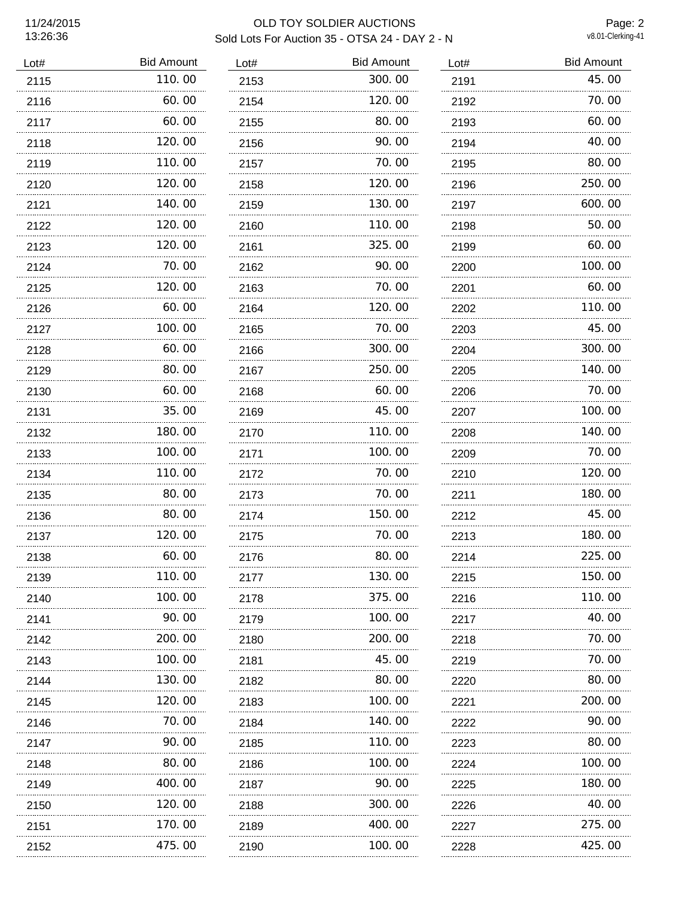Page: 2<br>v8.01-Clerking-41

| Lot# | <b>Bid Amount</b> | Lot# | <b>Bid Amount</b> | Lot# | <b>Bid Amount</b> |
|------|-------------------|------|-------------------|------|-------------------|
| 2115 | 110.00            | 2153 | 300.00            | 2191 | 45.00             |
| 2116 | 60.00             | 2154 | 120.00            | 2192 | 70.00             |
| 2117 | 60.00             | 2155 | 80.00             | 2193 | 60.00             |
| 2118 | 120.00            | 2156 | 90.00             | 2194 | 40.00             |
| 2119 | 110.00            | 2157 | 70.00             | 2195 | 80.00             |
| 2120 | 120.00            | 2158 | 120.00            | 2196 | 250.00            |
| 2121 | 140.00            | 2159 | 130.00            | 2197 | 600.00            |
| 2122 | 120, 00           | 2160 | 110.00            | 2198 | 50.00             |
| 2123 | 120.00            | 2161 | 325.00            | 2199 | 60.00             |
| 2124 | 70.00             | 2162 | 90.00             | 2200 | 100.00            |
| 2125 | 120.00            | 2163 | 70.00             | 2201 | 60.00             |
| 2126 | 60.00             | 2164 | 120.00            | 2202 | 110.00            |
| 2127 | 100.00            | 2165 | 70.00             | 2203 | 45.00             |
| 2128 | 60.00             | 2166 | 300, 00           | 2204 | 300.00            |
| 2129 | 80.00             | 2167 | 250.00            | 2205 | 140.00            |
| 2130 | 60.00             | 2168 | 60.00             | 2206 | 70.00             |
| 2131 | 35.00             | 2169 | 45.00             | 2207 | 100.00            |
| 2132 | 180.00            | 2170 | 110.00            | 2208 | 140.00            |
| 2133 | 100.00            | 2171 | 100.00            | 2209 | 70.00             |
| 2134 | 110.00            | 2172 | 70.00             | 2210 | 120.00            |
| 2135 | 80.00             | 2173 | 70.00             | 2211 | 180.00            |
| 2136 | 80.00             | 2174 | 150.00            | 2212 | 45.00             |
| 2137 | 120.00            | 2175 | 70.00             | 2213 | 180.00            |
| 2138 | 60.00             | 2176 | 80.00             | 2214 | 225.00            |
| 2139 | 110.00            | 2177 | 130.00            | 2215 | 150.00            |
| 2140 | 100, 00           | 2178 | 375.00            | 2216 | 110.00            |
| 2141 | 90.00             | 2179 | 100.00            | 2217 | 40.00             |
| 2142 | 200.00            | 2180 | 200.00            | 2218 | 70.00             |
| 2143 | 100.00            | 2181 | 45.00             | 2219 | 70.00             |
| 2144 | 130.00            | 2182 | 80.00             | 2220 | 80.00             |
| 2145 | 120.00            | 2183 | 100.00            | 2221 | 200.00            |
| 2146 | 70.00             | 2184 | 140.00            | 2222 | 90.00             |
| 2147 | 90.00             | 2185 | 110.00            | 2223 | 80.00             |
| 2148 | 80.00             | 2186 | 100.00            | 2224 | 100.00            |
| 2149 | 400. 00           | 2187 | 90.00             | 2225 | 180.00            |
| 2150 | 120.00            | 2188 | 300.00            | 2226 | 40.00             |
| 2151 | 170.00            | 2189 | 400.00            | 2227 | 275.00            |
| 2152 | 475.00            | 2190 | 100.00            | 2228 | 425.00            |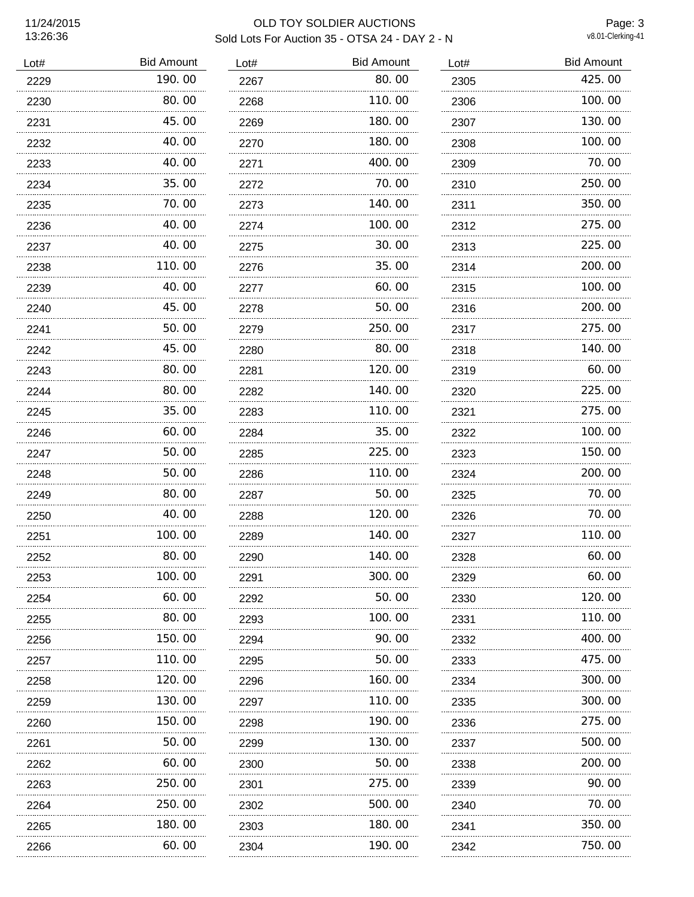Page: 3<br>v8.01-Clerking-41

| Lot# | <b>Bid Amount</b> | Lot# | <b>Bid Amount</b> | Lot# | <b>Bid Amount</b> |
|------|-------------------|------|-------------------|------|-------------------|
| 2229 | 190.00            | 2267 | 80.00             | 2305 | 425.00            |
| 2230 | 80.00             | 2268 | 110.00            | 2306 | 100.00            |
| 2231 | 45.00             | 2269 | 180.00            | 2307 | 130.00            |
| 2232 | 40.00             | 2270 | 180.00            | 2308 | 100.00            |
| 2233 | 40.00             | 2271 | 400.00            | 2309 | 70.00             |
| 2234 | 35.00             | 2272 | 70.00             | 2310 | 250.00            |
| 2235 | 70.00             | 2273 | 140.00            | 2311 | 350.00            |
| 2236 | 40.00             | 2274 | 100.00            | 2312 | 275.00            |
| 2237 | 40.00             | 2275 | 30.00             | 2313 | 225.00            |
| 2238 | 110.00            | 2276 | 35.00             | 2314 | 200.00            |
| 2239 | 40.00             | 2277 | 60.00             | 2315 | 100.00            |
| 2240 | 45.00             | 2278 | 50.00             | 2316 | 200.00            |
| 2241 | 50.00             | 2279 | 250.00            | 2317 | 275.00            |
| 2242 | 45.00             | 2280 | 80.00             | 2318 | 140.00            |
| 2243 | 80.00             | 2281 | 120.00            | 2319 | 60.00             |
| 2244 | 80.00             | 2282 | 140.00            | 2320 | 225.00            |
| 2245 | 35.00             | 2283 | 110.00            | 2321 | 275.00            |
| 2246 | 60.00             | 2284 | 35,00             | 2322 | 100.00            |
| 2247 | 50.00             | 2285 | 225.00            | 2323 | 150.00            |
| 2248 | 50.00             | 2286 | 110.00            | 2324 | 200.00            |
| 2249 | 80.00             | 2287 | 50.00             | 2325 | 70.00             |
| 2250 | 40.00             | 2288 | 120.00            | 2326 | 70.00             |
| 2251 | 100, 00           | 2289 | 140.00            | 2327 | 110.00            |
| 2252 | 80.00             | 2290 | 140.00            | 2328 | 60.00             |
| 2253 | 100.00            | 2291 | 300.00            | 2329 | 60.00             |
| 2254 | 60.00             | 2292 | 50.00             | 2330 | 120.00            |
| 2255 | 80.00             | 2293 | 100. 00           | 2331 | 110. 00           |
| 2256 | 150. 00           | 2294 | 90.00             | 2332 | 400.00            |
| 2257 | 110.00            | 2295 | 50.00             | 2333 | 475.00            |
| 2258 | 120.00            | 2296 | 160.00            | 2334 | 300.00            |
| 2259 | 130. 00           | 2297 | 110.00            | 2335 | 300.00            |
| 2260 | 150.00            | 2298 | 190.00            | 2336 | 275.00            |
| 2261 | 50.00             | 2299 | 130.00            | 2337 | 500.00            |
| 2262 | 60.00             | 2300 | 50.00             | 2338 | 200.00            |
| 2263 | 250. 00           | 2301 | 275.00            | 2339 | 90.00             |
| 2264 | 250.00            | 2302 | 500.00            | 2340 | 70.00             |
| 2265 | 180.00            | 2303 | 180.00            | 2341 | 350.00            |
| 2266 | 60.00             | 2304 | 190.00            | 2342 | 750.00            |
|      |                   |      |                   |      |                   |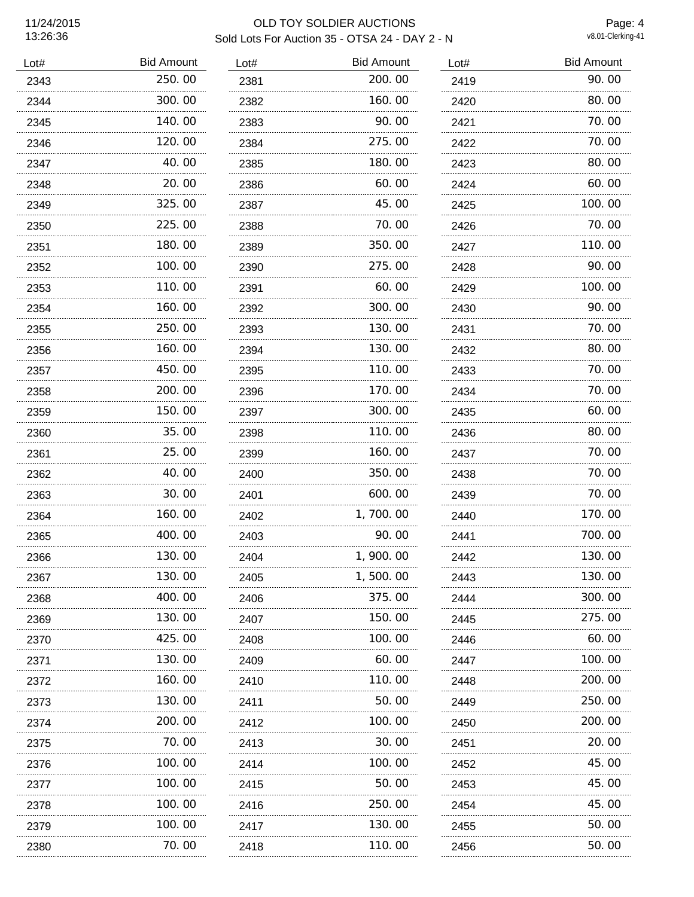Page: 4<br>v8.01-Clerking-41

| Lot# | <b>Bid Amount</b> | Lot# | <b>Bid Amount</b> | Lot# | <b>Bid Amount</b> |
|------|-------------------|------|-------------------|------|-------------------|
| 2343 | 250.00            | 2381 | 200.00            | 2419 | 90.00             |
| 2344 | 300.00            | 2382 | 160.00            | 2420 | 80.00             |
| 2345 | 140.00            | 2383 | 90.00             | 2421 | 70.00             |
| 2346 | 120.00            | 2384 | 275.00            | 2422 | 70.00             |
| 2347 | 40.00             | 2385 | 180.00            | 2423 | 80.00             |
| 2348 | 20.00             | 2386 | 60.00             | 2424 | 60.00             |
| 2349 | 325.00            | 2387 | 45.00             | 2425 | 100.00            |
| 2350 | 225.00            | 2388 | 70.00             | 2426 | 70.00             |
| 2351 | 180.00            | 2389 | 350.00            | 2427 | 110.00            |
| 2352 | 100, 00           | 2390 | 275.00            | 2428 | 90.00             |
| 2353 | 110.00            | 2391 | 60.00             | 2429 | 100.00            |
| 2354 | 160.00            | 2392 | 300.00            | 2430 | 90.00             |
| 2355 | 250.00            | 2393 | 130.00            | 2431 | 70.00             |
| 2356 | 160.00            | 2394 | 130.00            | 2432 | 80.00             |
| 2357 | 450.00            | 2395 | 110.00            | 2433 | 70.00             |
| 2358 | 200, 00           | 2396 | 170.00            | 2434 | 70.00             |
| 2359 | 150.00            | 2397 | 300.00            | 2435 | 60.00             |
| 2360 | 35.00             | 2398 | 110.00            | 2436 | 80.00             |
| 2361 | 25.00             | 2399 | 160.00            | 2437 | 70.00             |
| 2362 | 40.00             | 2400 | 350.00            | 2438 | 70.00             |
| 2363 | 30.00             | 2401 | 600.00            | 2439 | 70.00             |
| 2364 | 160.00            | 2402 | 1,700.00          | 2440 | 170.00            |
| 2365 | 400.00            | 2403 | 90.00             | 2441 | 700.00            |
| 2366 | 130.00            | 2404 | 1, 900. 00        | 2442 | 130.00            |
| 2367 | 130.00            | 2405 | 1,500.00          | 2443 | 130.00            |
| 2368 | 400. 00           | 2406 | 375.00            | 2444 | 300.00            |
| 2369 | 130.00            | 2407 | 150. 00           | 2445 | 275.00            |
| 2370 | 425.00            | 2408 | 100.00            | 2446 | 60.00             |
| 2371 | 130. 00           | 2409 | 60. 00            | 2447 | 100.00            |
| 2372 | 160.00            | 2410 | 110.00            | 2448 | 200.00            |
| 2373 | 130. 00           | 2411 | 50.00             | 2449 | 250.00            |
| 2374 | 200.00            | 2412 | 100.00            | 2450 | 200.00            |
| 2375 | 70.00             | 2413 | 30.00             | 2451 | 20.00             |
| 2376 | 100. 00           | 2414 | 100.00            | 2452 | 45.00             |
| 2377 | 100. 00           | 2415 | 50.00             | 2453 | 45.00             |
| 2378 | 100.00            | 2416 | 250.00            | 2454 | 45.00             |
| 2379 | 100. 00           | 2417 | 130.00            | 2455 | 50.00             |
| 2380 | 70.00             | 2418 | 110.00            | 2456 | 50.00             |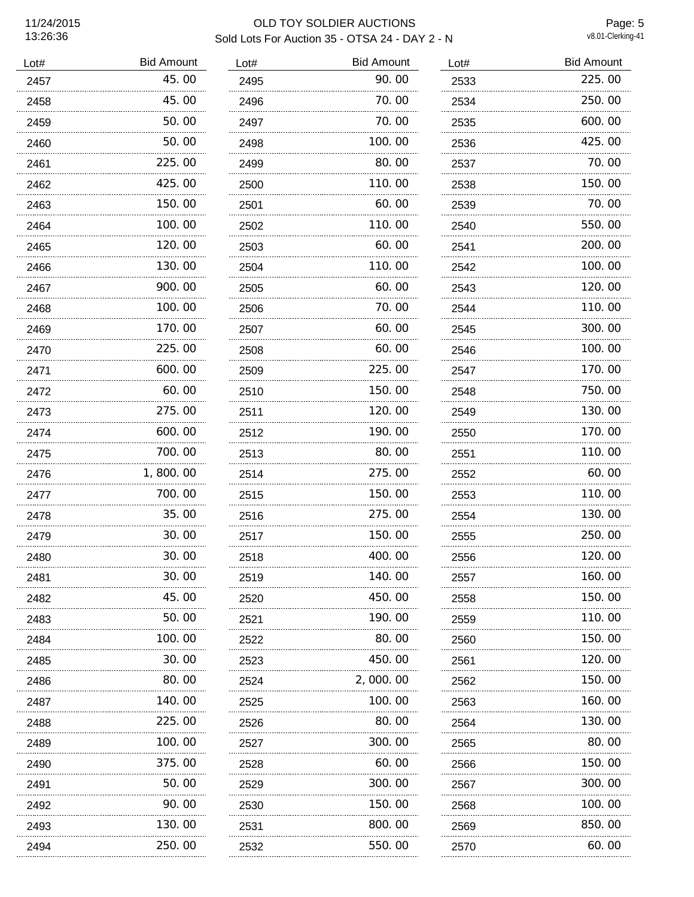Page: 5<br>v8.01-Clerking-41

| Lot# | <b>Bid Amount</b> | Lot# | <b>Bid Amount</b> | Lot# | <b>Bid Amount</b> |
|------|-------------------|------|-------------------|------|-------------------|
| 2457 | 45.00             | 2495 | 90.00             | 2533 | 225.00            |
| 2458 | 45.00             | 2496 | 70.00             | 2534 | 250.00            |
| 2459 | 50.00             | 2497 | 70.00             | 2535 | 600.00            |
| 2460 | 50.00             | 2498 | 100.00            | 2536 | 425.00            |
| 2461 | 225.00            | 2499 | 80.00             | 2537 | 70.00             |
| 2462 | 425.00            | 2500 | 110.00            | 2538 | 150.00            |
| 2463 | 150.00            | 2501 | 60.00             | 2539 | 70.00             |
| 2464 | 100.00            | 2502 | 110.00            | 2540 | 550.00            |
| 2465 | 120.00            | 2503 | 60.00             | 2541 | 200.00            |
| 2466 | 130.00            | 2504 | 110.00            | 2542 | 100.00            |
| 2467 | 900.00            | 2505 | 60.00             | 2543 | 120.00            |
| 2468 | 100.00            | 2506 | 70.00             | 2544 | 110.00            |
| 2469 | 170.00            | 2507 | 60.00             | 2545 | 300.00            |
| 2470 | 225.00            | 2508 | 60.00             | 2546 | 100.00            |
| 2471 | 600.00            | 2509 | 225.00            | 2547 | 170.00            |
| 2472 | 60.00             | 2510 | 150,00            | 2548 | 750.00            |
| 2473 | 275.00            | 2511 | 120.00            | 2549 | 130.00            |
| 2474 | 600.00            | 2512 | 190.00            | 2550 | 170.00            |
| 2475 | 700.00            | 2513 | 80.00             | 2551 | 110.00            |
| 2476 | 1,800.00          | 2514 | 275.00            | 2552 | 60.00             |
| 2477 | 700.00            | 2515 | 150.00            | 2553 | 110.00            |
| 2478 | 35.00             | 2516 | 275.00            | 2554 | 130.00            |
| 2479 | 30.00             | 2517 | 150.00            | 2555 | 250.00            |
| 2480 | 30.00             | 2518 | 400.00            | 2556 | 120.00            |
| 2481 | 30.00             | 2519 | 140.00            | 2557 | 160.00            |
| 2482 | 45.00             | 2520 | 450.00            | 2558 | 150.00            |
| 2483 | 50.00             | 2521 | 190. 00           | 2559 | 110. 00           |
| 2484 | 100.00            | 2522 | 80.00             | 2560 | 150.00            |
| 2485 | 30.00             | 2523 | 450.00            | 2561 | 120.00            |
| 2486 | 80.00             | 2524 | 2,000.00          | 2562 | 150.00            |
| 2487 | 140.00            | 2525 | 100.00            | 2563 | 160. 00           |
| 2488 | 225.00            | 2526 | 80.00             | 2564 | 130.00            |
| 2489 | 100.00            | 2527 | 300.00            | 2565 | 80.00             |
| 2490 | 375.00            | 2528 | 60.00             | 2566 | 150.00            |
| 2491 | 50.00             | 2529 | 300.00            | 2567 | 300.00            |
| 2492 | 90.00             | 2530 | 150.00            | 2568 | 100.00            |
| 2493 | 130. 00           | 2531 | 800.00            | 2569 | 850.00            |
| 2494 | 250.00            | 2532 | 550.00            | 2570 | 60.00             |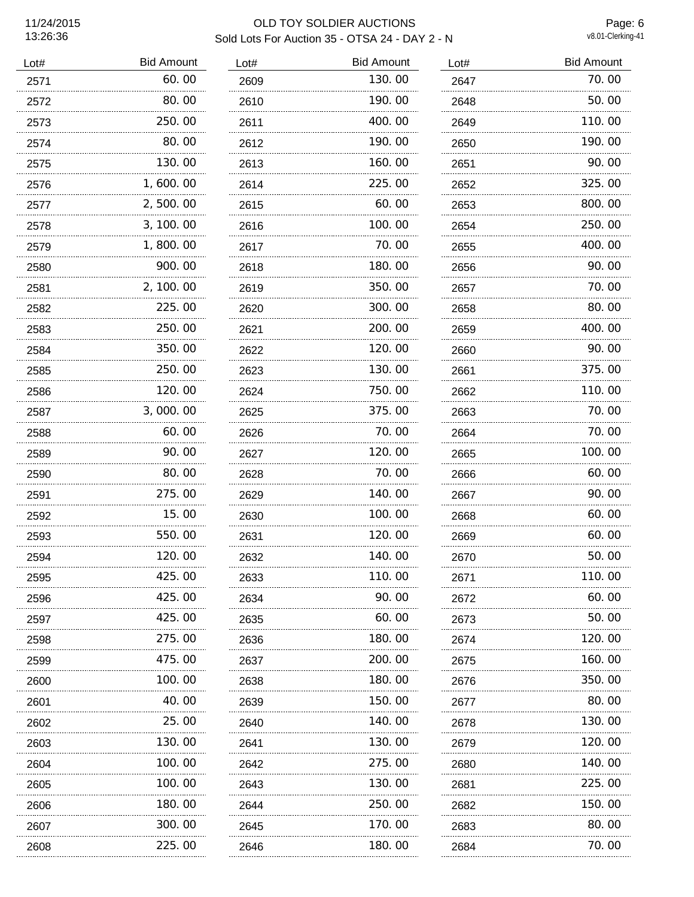Page: 6<br>v8.01-Clerking-41

| Lot# | <b>Bid Amount</b> | Lot# | <b>Bid Amount</b> | Lot# | <b>Bid Amount</b> |
|------|-------------------|------|-------------------|------|-------------------|
| 2571 | 60.00             | 2609 | 130.00            | 2647 | 70.00             |
| 2572 | 80.00             | 2610 | 190.00            | 2648 | 50.00             |
| 2573 | 250.00            | 2611 | 400.00            | 2649 | 110.00            |
| 2574 | 80.00             | 2612 | 190.00            | 2650 | 190.00            |
| 2575 | 130.00            | 2613 | 160.00            | 2651 | 90.00             |
| 2576 | 1,600.00          | 2614 | 225.00            | 2652 | 325.00            |
| 2577 | 2,500.00          | 2615 | 60.00             | 2653 | 800.00            |
| 2578 | 3, 100. 00        | 2616 | 100.00            | 2654 | 250.00            |
| 2579 | 1,800.00          | 2617 | 70.00             | 2655 | 400.00            |
| 2580 | 900.00            | 2618 | 180.00            | 2656 | 90.00             |
| 2581 | 2, 100.00         | 2619 | 350.00            | 2657 | 70.00             |
| 2582 | 225.00            | 2620 | 300.00            | 2658 | 80.00             |
| 2583 | 250.00            | 2621 | 200.00            | 2659 | 400.00            |
| 2584 | 350.00            | 2622 | 120.00            | 2660 | 90.00             |
| 2585 | 250.00            | 2623 | 130.00            | 2661 | 375.00            |
| 2586 | 120, 00           | 2624 | 750.00            | 2662 | 110.00            |
| 2587 | 3,000.00          | 2625 | 375.00            | 2663 | 70.00             |
| 2588 | 60.00             | 2626 | 70.00             | 2664 | 70.00             |
| 2589 | 90.00             | 2627 | 120.00            | 2665 | 100.00            |
| 2590 | 80.00             | 2628 | 70.00             | 2666 | 60.00             |
| 2591 | 275.00            | 2629 | 140.00            | 2667 | 90.00             |
| 2592 | 15.00             | 2630 | 100.00            | 2668 | 60.00             |
| 2593 | 550.00            | 2631 | 120.00            | 2669 | 60.00             |
| 2594 | 120.00            | 2632 | 140.00            | 2670 | 50.00             |
| 2595 | 425.00            | 2633 | 110.00            | 2671 | 110.00            |
| 2596 | 425.00            | 2634 | 90.00             | 2672 | 60.00             |
| 2597 | 425,00            | 2635 | 60.00             | 2673 | 50.00             |
| 2598 | 275.00            | 2636 | 180.00            | 2674 | 120.00            |
| 2599 | 475.00            | 2637 | 200.00            | 2675 | 160.00            |
| 2600 | 100.00            | 2638 | 180.00            | 2676 | 350.00            |
| 2601 | 40. 00            | 2639 | 150.00            | 2677 | 80.00             |
| 2602 | 25.00             | 2640 | 140.00            | 2678 | 130.00            |
| 2603 | 130. 00           | 2641 | 130.00            | 2679 | 120. 00           |
| 2604 | 100.00            | 2642 | 275.00            | 2680 | 140.00            |
| 2605 | 100.00            | 2643 | 130.00            | 2681 | 225.00            |
| 2606 | 180.00            | 2644 | 250.00            | 2682 | 150.00            |
| 2607 | 300.00            | 2645 | 170.00            | 2683 | 80.00             |
| 2608 | 225.00            | 2646 | 180.00            | 2684 | 70.00             |
|      |                   |      |                   |      |                   |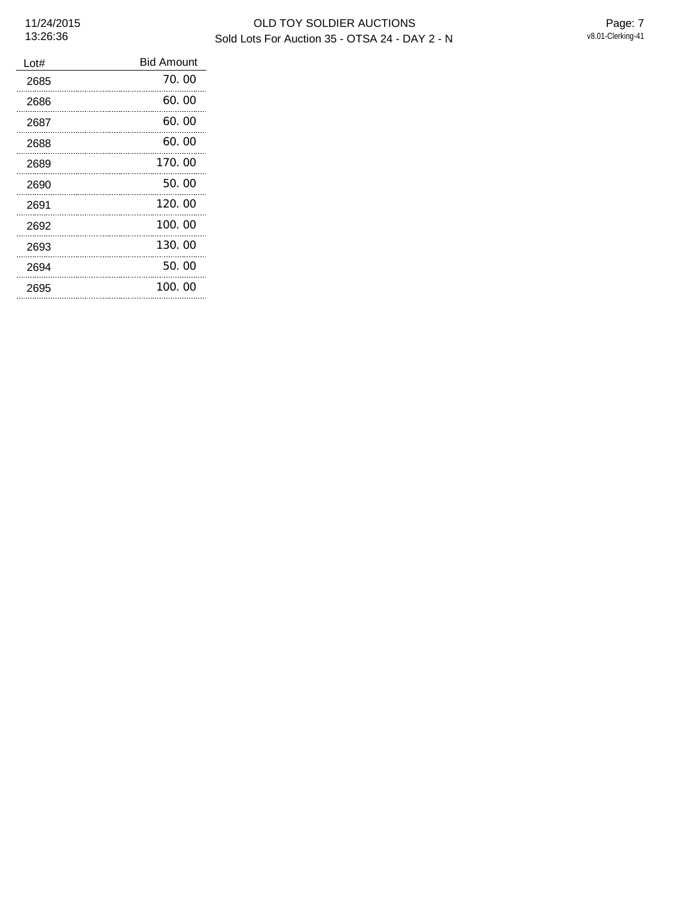| Lot# | <b>Bid Amount</b> |
|------|-------------------|
| 2685 | 70.00             |
| 2686 | 60.00             |
| 2687 | 60.00             |
| 2688 | 60.00             |
| 2689 | 170.00            |
| 2690 | 50.00             |
| 2691 | 120.00            |
| 2692 | 100.00            |
| 2693 | 130.00            |
| 2694 | 50.00             |
| 2695 | 100.00            |
|      |                   |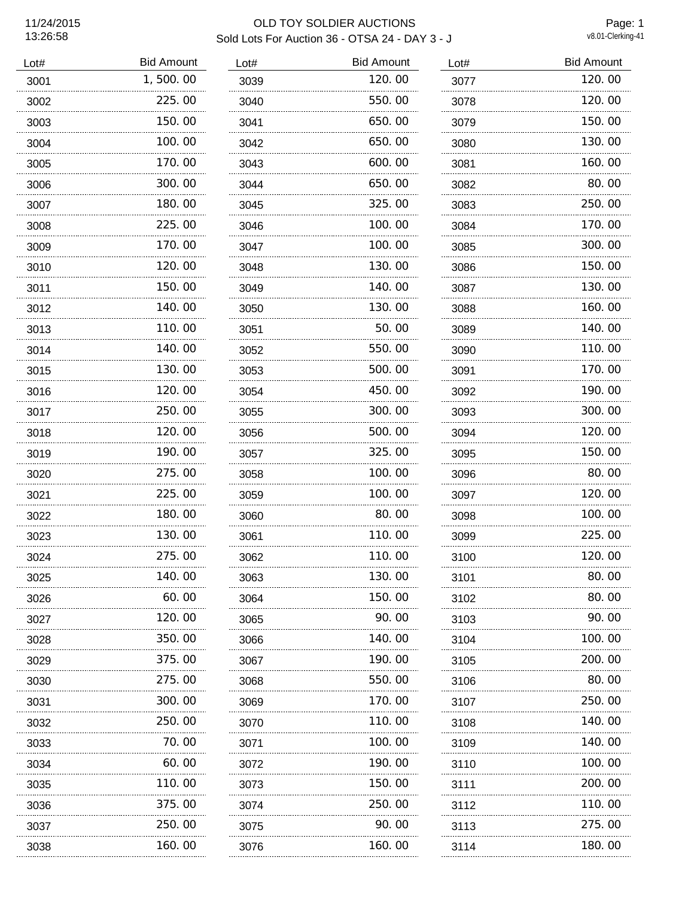Page: 1<br>v8.01-Clerking-41

| Lot# | <b>Bid Amount</b> | Lot# | <b>Bid Amount</b> | Lot# | <b>Bid Amount</b> |
|------|-------------------|------|-------------------|------|-------------------|
| 3001 | 1,500.00          | 3039 | 120.00            | 3077 | 120.00            |
| 3002 | 225.00            | 3040 | 550.00            | 3078 | 120.00            |
| 3003 | 150.00            | 3041 | 650.00            | 3079 | 150.00            |
| 3004 | 100.00            | 3042 | 650.00            | 3080 | 130.00            |
| 3005 | 170.00            | 3043 | 600.00            | 3081 | 160.00            |
| 3006 | 300.00            | 3044 | 650.00            | 3082 | 80.00             |
| 3007 | 180.00            | 3045 | 325.00            | 3083 | 250.00            |
| 3008 | 225.00            | 3046 | 100.00            | 3084 | 170.00            |
| 3009 | 170.00            | 3047 | 100.00            | 3085 | 300.00            |
| 3010 | 120.00            | 3048 | 130.00            | 3086 | 150.00            |
| 3011 | 150.00            | 3049 | 140.00            | 3087 | 130.00            |
| 3012 | 140.00            | 3050 | 130.00            | 3088 | 160.00            |
| 3013 | 110.00            | 3051 | 50.00             | 3089 | 140.00            |
| 3014 | 140.00            | 3052 | 550.00            | 3090 | 110.00            |
| 3015 | 130.00<br>.       | 3053 | 500.00            | 3091 | 170.00            |
| 3016 | 120.00            | 3054 | 450.00            | 3092 | 190.00            |
| 3017 | 250.00            | 3055 | 300.00            | 3093 | 300.00            |
| 3018 | 120.00            | 3056 | 500.00            | 3094 | 120.00            |
| 3019 | 190.00<br>.       | 3057 | 325.00<br>.       | 3095 | 150.00            |
| 3020 | 275.00            | 3058 | 100.00            | 3096 | 80.00             |
| 3021 | 225.00            | 3059 | 100.00            | 3097 | 120.00            |
| 3022 | 180.00            | 3060 | 80.00             | 3098 | 100.00            |
| 3023 | 130.00            | 3061 | 110.00            | 3099 | 225.00            |
| 3024 | 275.00            | 3062 | 110.00            | 3100 | 120.00            |
| 3025 | 140.00            | 3063 | 130.00            | 3101 | 80.00             |
| 3026 | 60.00             | 3064 | 150.00            | 3102 | 80.00             |
| 3027 | 120. 00           | 3065 | 90.00             | 3103 | 90. 00            |
| 3028 | 350.00            | 3066 | 140.00            | 3104 | 100.00            |
| 3029 | 375.00            | 3067 | 190.00            | 3105 | 200.00            |
| 3030 | 275.00            | 3068 | 550.00            | 3106 | 80.00             |
| 3031 | 300.00            | 3069 | 170.00            | 3107 | 250.00            |
| 3032 | 250.00            | 3070 | 110.00            | 3108 | 140.00            |
| 3033 | 70.00             | 3071 | 100.00            | 3109 | 140.00            |
| 3034 | 60.00             | 3072 | 190.00            | 3110 | 100.00            |
| 3035 | 110. 00           | 3073 | 150.00            | 3111 | 200.00            |
| 3036 | 375.00            | 3074 | 250.00            | 3112 | 110.00            |
| 3037 | 250.00            | 3075 | 90.00             | 3113 | 275.00            |
| 3038 | 160. 00           | 3076 | 160. 00           | 3114 | 180.00            |
|      |                   |      |                   |      |                   |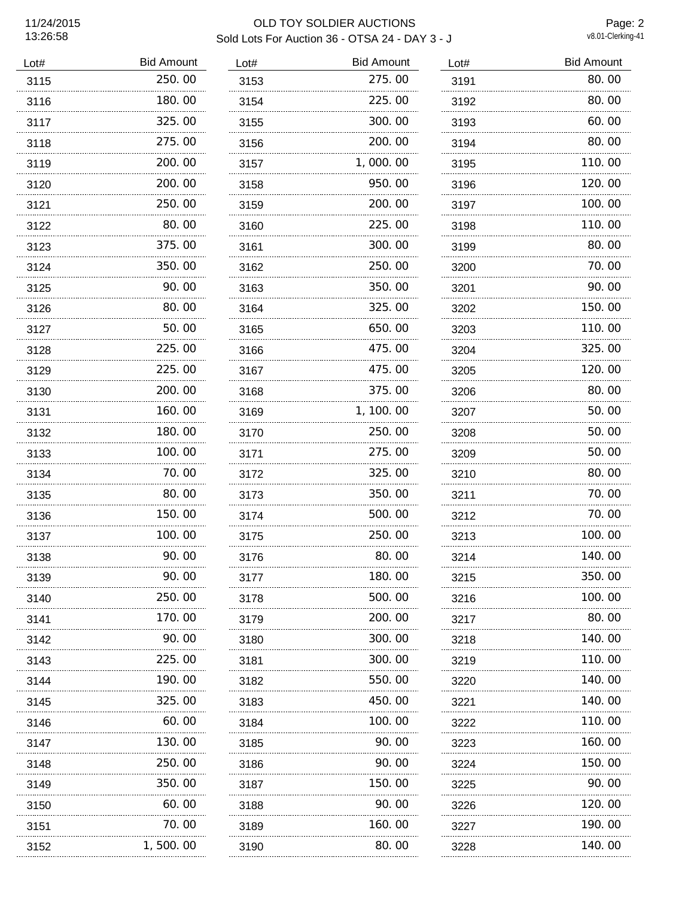## OLD TOY SOLDIER AUCTIONS Sold Lots For Auction 36 - OTSA 24 - DAY 3 - J

Page: 2<br>v8.01-Clerking-41

| Lot# | <b>Bid Amount</b> | Lot# | <b>Bid Amount</b> | Lot# | <b>Bid Amount</b> |
|------|-------------------|------|-------------------|------|-------------------|
| 3115 | 250.00            | 3153 | 275.00            | 3191 | 80.00             |
| 3116 | 180.00            | 3154 | 225.00            | 3192 | 80.00             |
| 3117 | 325.00            | 3155 | 300.00            | 3193 | 60.00             |
| 3118 | 275.00            | 3156 | 200.00            | 3194 | 80.00             |
| 3119 | 200.00            | 3157 | 1,000.00          | 3195 | 110.00            |
| 3120 | 200.00            | 3158 | 950.00            | 3196 | 120.00            |
| 3121 | 250.00            | 3159 | 200.00            | 3197 | 100.00            |
| 3122 | 80.00             | 3160 | 225.00            | 3198 | 110.00            |
| 3123 | 375.00            | 3161 | 300.00            | 3199 | 80.00             |
| 3124 | 350.00            | 3162 | 250.00            | 3200 | 70.00             |
| 3125 | 90.00             | 3163 | 350.00            | 3201 | 90.00             |
| 3126 | 80.00             | 3164 | 325.00            | 3202 | 150.00            |
| 3127 | 50.00             | 3165 | 650.00            | 3203 | 110.00            |
| 3128 | 225.00            | 3166 | 475.00            | 3204 | 325.00            |
| 3129 | 225.00            | 3167 | 475.00            | 3205 | 120.00            |
| 3130 | 200.00            | 3168 | 375.00            | 3206 | 80.00             |
| 3131 | 160.00            | 3169 | 1, 100.00         | 3207 | 50.00             |
| 3132 | 180.00            | 3170 | 250.00            | 3208 | 50.00             |
| 3133 | 100.00            | 3171 | 275.00            | 3209 | 50.00             |
| 3134 | 70.00             | 3172 | 325.00            | 3210 | 80.00             |
| 3135 | 80.00             | 3173 | 350.00            | 3211 | 70.00             |
| 3136 | 150.00            | 3174 | 500.00            | 3212 | 70.00             |
| 3137 | 100, 00           | 3175 | 250.00            | 3213 | 100.00            |
| 3138 | 90.00             | 3176 | 80.00             | 3214 | 140.00            |
| 3139 | 90.00             | 3177 | 180.00            | 3215 | 350.00            |
| 3140 | 250. 00           | 3178 | 500.00            | 3216 | 100.00            |
| 3141 | 170. 00           | 3179 | 200.00            | 3217 | 80.00             |
| 3142 | 90.00             | 3180 | 300.00            | 3218 | 140.00            |
| 3143 | 225.00            | 3181 | 300.00            | 3219 | 110.00            |
| 3144 | 190.00            | 3182 | 550.00            | 3220 | 140.00            |
| 3145 | 325.00            | 3183 | 450.00            | 3221 | 140.00            |
| 3146 | 60.00             | 3184 | 100.00            | 3222 | 110. 00           |
| 3147 | 130. 00           | 3185 | 90.00             | 3223 | 160. 00           |
| 3148 | 250.00            | 3186 | 90.00             | 3224 | 150.00            |
| 3149 | 350.00            | 3187 | 150.00            | 3225 | 90.00             |
| 3150 | 60.00             | 3188 | 90.00             | 3226 | 120.00            |
| 3151 | 70.00             | 3189 | 160.00            | 3227 | 190.00            |
| 3152 | 500.00            | 3190 | 80.00             | 3228 | 140. 00           |
|      |                   |      |                   |      |                   |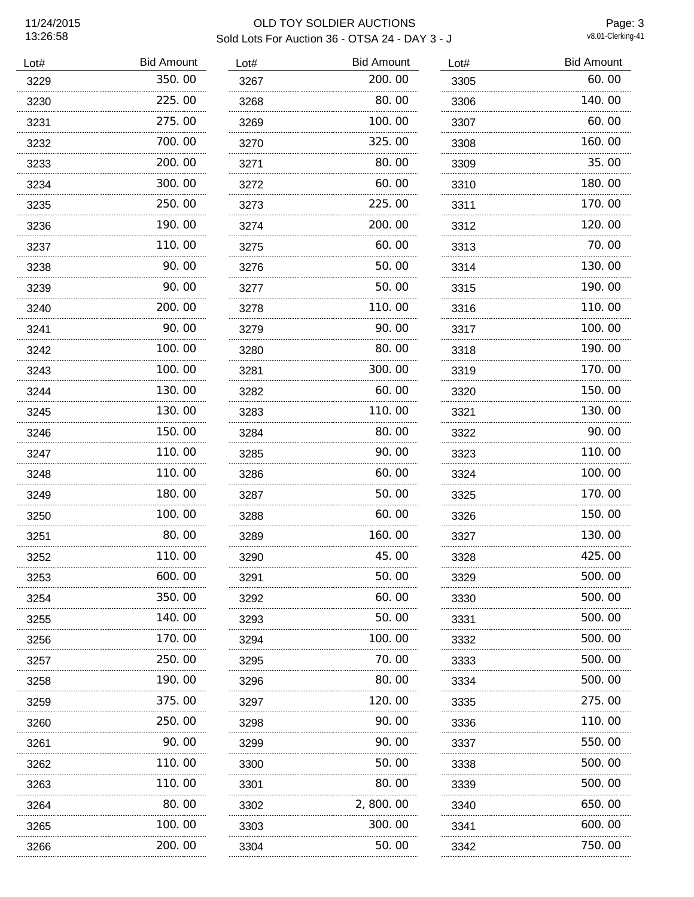## OLD TOY SOLDIER AUCTIONS Sold Lots For Auction 36 - OTSA 24 - DAY 3 - J

Page: 3<br>v8.01-Clerking-41

| Lot# | <b>Bid Amount</b> | Lot# | <b>Bid Amount</b> | Lot# | <b>Bid Amount</b> |
|------|-------------------|------|-------------------|------|-------------------|
| 3229 | 350.00            | 3267 | 200.00            | 3305 | 60.00             |
| 3230 | 225.00            | 3268 | 80.00             | 3306 | 140.00            |
| 3231 | 275.00            | 3269 | 100.00            | 3307 | 60.00             |
| 3232 | 700.00            | 3270 | 325.00            | 3308 | 160.00            |
| 3233 | 200.00            | 3271 | 80.00             | 3309 | 35.00             |
| 3234 | 300.00            | 3272 | 60.00             | 3310 | 180.00            |
| 3235 | 250.00            | 3273 | 225.00            | 3311 | 170.00            |
| 3236 | 190.00            | 3274 | 200.00            | 3312 | 120.00            |
| 3237 | 110.00            | 3275 | 60.00             | 3313 | 70.00             |
| 3238 | 90.00             | 3276 | 50.00             | 3314 | 130.00            |
| 3239 | 90.00             | 3277 | 50.00             | 3315 | 190.00            |
| 3240 | 200.00            | 3278 | 110.00            | 3316 | 110.00            |
| 3241 | 90.00             | 3279 | 90.00             | 3317 | 100.00            |
| 3242 | 100.00            | 3280 | 80.00             | 3318 | 190.00            |
| 3243 | 100.00            | 3281 | 300.00            | 3319 | 170.00            |
| 3244 | 130.00            | 3282 | 60.00             | 3320 | 150.00            |
| 3245 | 130.00            | 3283 | 110.00            | 3321 | 130.00            |
| 3246 | 150.00            | 3284 | 80.00             | 3322 | 90.00             |
| 3247 | 110.00            | 3285 | 90.00             | 3323 | 110.00            |
| 3248 | 110.00            | 3286 | 60.00             | 3324 | 100.00            |
| 3249 | 180.00            | 3287 | 50.00             | 3325 | 170.00            |
| 3250 | 100.00            | 3288 | 60.00             | 3326 | 150.00            |
| 3251 | 80.00             | 3289 | 160.00            | 3327 | 130.00            |
| 3252 | 110.00            | 3290 | 45.00             | 3328 | 425.00            |
| 3253 | 600.00            | 3291 | 50.00             | 3329 | 500.00            |
| 3254 | 350.00            | 3292 | 60.00             | 3330 | 500.00            |
| 3255 | 140. 00           | 3293 | 50.00             | 3331 | 500. 00           |
| 3256 | 170. 00           | 3294 | 100. OO           | 3332 | 500.00            |
| 3257 | 250.00            | 3295 | 70.00             | 3333 | 500.00            |
| 3258 | 190.00            | 3296 | 80.00             | 3334 | 500.00            |
| 3259 | 375.00            | 3297 | 120. 00           | 3335 | 275.00            |
| 3260 | 250.00            | 3298 | 90.00             | 3336 | 110.00            |
| 3261 | 90.00             | 3299 | 90.00             | 3337 | 550.00            |
| 3262 | 110.00            | 3300 | 50.00             | 3338 | 500.00            |
| 3263 | 110.00            | 3301 | 80.00             | 3339 | 500.00            |
| 3264 | 80.00             | 3302 | 2, 800. 00        | 3340 | 650.00            |
| 3265 | 100. 00           | 3303 | 300.00            | 3341 | 600.00            |
| 3266 | 200.00            | 3304 | 50.00             | 3342 | 750.00            |
|      |                   |      |                   |      |                   |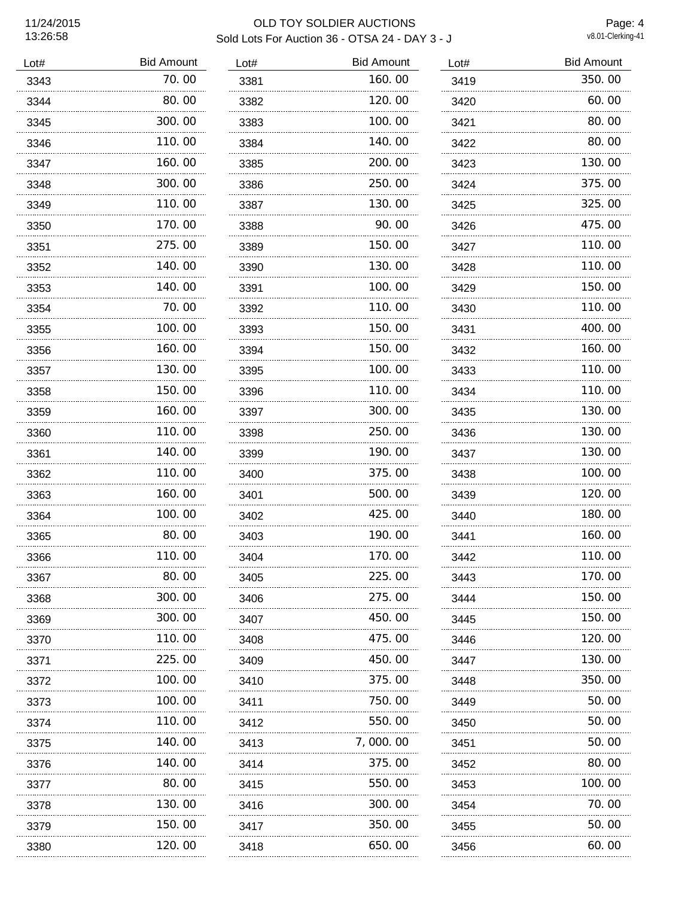## OLD TOY SOLDIER AUCTIONS Sold Lots For Auction 36 - OTSA 24 - DAY 3 - J

Page: 4<br>v8.01-Clerking-41

| Lot# | <b>Bid Amount</b> | Lot# | <b>Bid Amount</b> | Lot# | <b>Bid Amount</b> |
|------|-------------------|------|-------------------|------|-------------------|
| 3343 | 70.00             | 3381 | 160.00            | 3419 | 350.00            |
| 3344 | 80.00             | 3382 | 120.00            | 3420 | 60.00             |
| 3345 | 300.00            | 3383 | 100.00            | 3421 | 80.00             |
| 3346 | 110.00            | 3384 | 140.00            | 3422 | 80.00             |
| 3347 | 160.00            | 3385 | 200.00            | 3423 | 130.00            |
| 3348 | 300.00            | 3386 | 250.00            | 3424 | 375.00            |
| 3349 | 110.00            | 3387 | 130.00            | 3425 | 325.00            |
| 3350 | 170.00            | 3388 | 90.00             | 3426 | 475.00            |
| 3351 | 275.00            | 3389 | 150.00            | 3427 | 110.00            |
| 3352 | 140.00            | 3390 | 130.00            | 3428 | 110.00            |
| 3353 | 140.00            | 3391 | 100.00            | 3429 | 150.00            |
| 3354 | 70.00             | 3392 | 110.00            | 3430 | 110.00            |
| 3355 | 100.00            | 3393 | 150.00            | 3431 | 400.00            |
| 3356 | 160.00            | 3394 | 150.00            | 3432 | 160.00            |
| 3357 | 130.00            | 3395 | 100.00            | 3433 | 110.00            |
| 3358 | 150.00            | 3396 | 110.00            | 3434 | 110.00            |
| 3359 | 160.00            | 3397 | 300.00            | 3435 | 130.00            |
| 3360 | 110.00            | 3398 | 250.00            | 3436 | 130.00            |
| 3361 | 140.00            | 3399 | 190.00            | 3437 | 130.00            |
| 3362 | 110.00            | 3400 | 375.00            | 3438 | 100.00            |
| 3363 | 160.00            | 3401 | 500.00            | 3439 | 120.00            |
| 3364 | 100.00            | 3402 | 425.00            | 3440 | 180.00            |
| 3365 | 80.00             | 3403 | 190.00            | 3441 | 160.00            |
| 3366 | 110.00            | 3404 | 170.00            | 3442 | 110.00            |
| 3367 | 80.00             | 3405 | 225.00            | 3443 | 170.00            |
| 3368 | 300.00            | 3406 | 275.00            | 3444 | 150.00            |
| 3369 | 300. 00           | 3407 | 450.00            | 3445 | 150. 00           |
| 3370 | 110.00            | 3408 | 475.00            | 3446 | 120.00            |
| 3371 | 225.00            | 3409 | 450.00            | 3447 | 130.00            |
| 3372 | 100.00            | 3410 | 375.00            | 3448 | 350.00            |
| 3373 | 100.00            | 3411 | 750.00            | 3449 | 50.00             |
| 3374 | 110.00            | 3412 | 550.00            | 3450 | 50.00             |
| 3375 | 140.00            | 3413 | 7,000.00          | 3451 | 50.00             |
| 3376 | 140.00            | 3414 | 375.00            | 3452 | 80.00             |
| 3377 | 80.00             | 3415 | 550.00            | 3453 | 100.00            |
| 3378 | 130.00            | 3416 | 300.00            | 3454 | 70.00             |
| 3379 | 150.00            | 3417 | 350.00            | 3455 | 50.00             |
| 3380 | 120.00            | 3418 | 650.00            | 3456 | 60.00             |
|      |                   |      |                   |      |                   |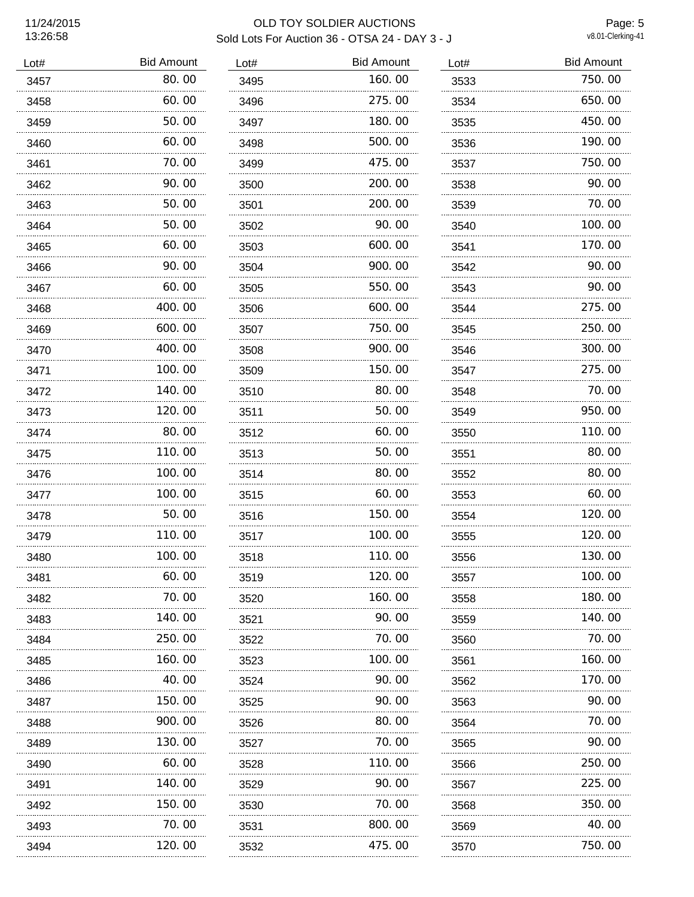Page: 5<br>v8.01-Clerking-41

| Lot# | <b>Bid Amount</b> | Lot# | <b>Bid Amount</b> | Lot# | <b>Bid Amount</b> |
|------|-------------------|------|-------------------|------|-------------------|
| 3457 | 80.00             | 3495 | 160.00            | 3533 | 750.00            |
| 3458 | 60.00             | 3496 | 275.00            | 3534 | 650.00            |
| 3459 | 50.00             | 3497 | 180.00            | 3535 | 450.00            |
| 3460 | 60.00             | 3498 | 500.00            | 3536 | 190.00            |
| 3461 | 70.00             | 3499 | 475.00            | 3537 | 750.00            |
| 3462 | 90.00             | 3500 | 200.00            | 3538 | 90.00             |
| 3463 | 50.00             | 3501 | 200.00            | 3539 | 70.00             |
| 3464 | 50.00             | 3502 | 90.00             | 3540 | 100.00            |
| 3465 | 60.00             | 3503 | 600.00            | 3541 | 170.00            |
| 3466 | 90.00             | 3504 | 900.00            | 3542 | 90.00             |
| 3467 | 60.00             | 3505 | 550.00            | 3543 | 90.00             |
| 3468 | 400.00            | 3506 | 600.00            | 3544 | 275.00            |
| 3469 | 600.00            | 3507 | 750.00            | 3545 | 250.00            |
| 3470 | 400.00            | 3508 | 900.00            | 3546 | 300.00            |
| 3471 | 100.00<br>.       | 3509 | 150.00<br>.       | 3547 | 275.00            |
| 3472 | 140.00            | 3510 | 80.00             | 3548 | 70.00             |
| 3473 | 120.00            | 3511 | 50.00             | 3549 | 950.00            |
| 3474 | 80.00             | 3512 | 60.00             | 3550 | 110.00            |
| 3475 | 110.00            | 3513 | 50.00             | 3551 | 80.00             |
| 3476 | 100, 00           | 3514 | 80.00             | 3552 | 80.00             |
| 3477 | 100.00            | 3515 | 60.00             | 3553 | 60.00             |
| 3478 | 50.00             | 3516 | 150.00            | 3554 | 120.00            |
| 3479 | 110.00            | 3517 | 100.00            | 3555 | 120.00            |
| 3480 | 100.00            | 3518 | 110.00            | 3556 | 130.00            |
| 3481 | 60.00             | 3519 | 120.00            | 3557 | 100.00            |
| 3482 | 70.00             | 3520 | 160.00            | 3558 | 180.00            |
| 3483 | 140.00            | 3521 | 90. OO            | 3559 | 140.00            |
| 3484 | 250.00            | 3522 | 70.00             | 3560 | 70.00             |
| 3485 | 160.00            | 3523 | 100.00            | 3561 | 160.00            |
| 3486 | 40.00             | 3524 | 90.00             | 3562 | 170.00            |
| 3487 | 150, 00           | 3525 | 90.00             | 3563 | 90.00             |
| 3488 | 900.00            | 3526 | 80.00             | 3564 | 70.00             |
| 3489 | 130.00            | 3527 | 70.00             | 3565 | 90.00             |
| 3490 | 60.00             | 3528 | 110.00            | 3566 | 250.00            |
| 3491 | 140. 00           | 3529 | 90. OO            | 3567 | 225.00            |
| 3492 | 150.00            | 3530 | 70.00             | 3568 | 350.00            |
| 3493 | 70.00<br>.        | 3531 | 800.00<br>.       | 3569 | 40.00             |
| 3494 | 120.00            | 3532 | 475.00            | 3570 | 750. 00           |